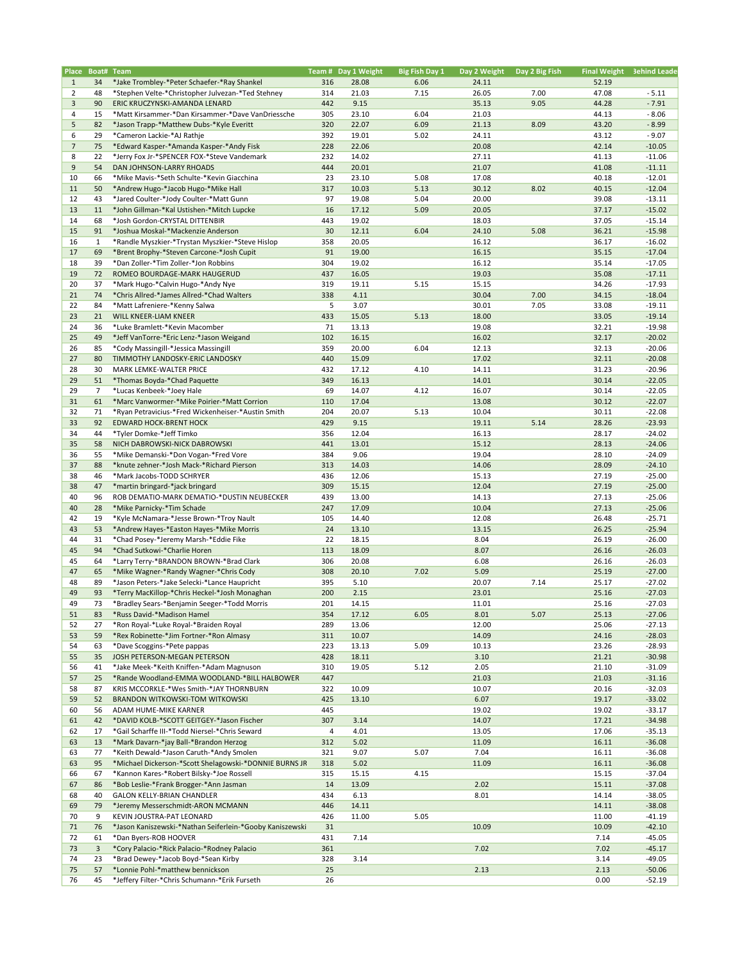|                |                    | Place Boat# Team                                                     |            | Team # Day 1 Weight | <b>Big Fish Day 1</b> | Day 2 Weight Day 2 Big Fish |      |                | Final Weight 3ehind Leade |
|----------------|--------------------|----------------------------------------------------------------------|------------|---------------------|-----------------------|-----------------------------|------|----------------|---------------------------|
| $\mathbf{1}$   | 34                 | *Jake Trombley-*Peter Schaefer-*Ray Shankel                          | 316        | 28.08               | 6.06                  | 24.11                       |      | 52.19          |                           |
| $\overline{2}$ | 48                 | *Stephen Velte-*Christopher Julvezan-*Ted Stehney                    | 314        | 21.03               | 7.15                  | 26.05                       | 7.00 | 47.08          | $-5.11$                   |
| $\overline{3}$ | 90                 | ERIC KRUCZYNSKI-AMANDA LENARD                                        | 442        | 9.15                |                       | 35.13                       | 9.05 | 44.28          | $-7.91$                   |
| $\overline{4}$ | 15                 | *Matt Kirsammer-*Dan Kirsammer-*Dave VanDriessche                    | 305        | 23.10               | 6.04                  | 21.03                       |      | 44.13          | $-8.06$                   |
| 5              | 82                 | *Jason Trapp-*Matthew Dubs-*Kyle Everitt                             | 320        | 22.07               | 6.09                  | 21.13                       | 8.09 | 43.20          | $-8.99$                   |
| 6              | 29                 | *Cameron Lackie-*AJ Rathje                                           | 392        | 19.01               | 5.02                  | 24.11                       |      | 43.12          | $-9.07$                   |
| $\overline{7}$ | 75                 | *Edward Kasper-*Amanda Kasper-*Andy Fisk                             | 228        | 22.06               |                       | 20.08                       |      | 42.14          | $-10.05$                  |
| 8              | 22                 | *Jerry Fox Jr-*SPENCER FOX-*Steve Vandemark                          | 232        | 14.02               |                       | 27.11                       |      | 41.13          | $-11.06$                  |
| 9              | 54                 | DAN JOHNSON-LARRY RHOADS                                             | 444        | 20.01               |                       | 21.07                       |      | 41.08          | $-11.11$                  |
| 10             | 66                 | *Mike Mavis-*Seth Schulte-*Kevin Giacchina                           | 23         | 23.10               | 5.08                  | 17.08                       |      | 40.18          | $-12.01$                  |
| 11             | 50                 | *Andrew Hugo-*Jacob Hugo-*Mike Hall                                  | 317        | 10.03               | 5.13                  | 30.12                       | 8.02 | 40.15          | $-12.04$                  |
| 12             | 43                 | *Jared Coulter-*Jody Coulter-*Matt Gunn                              | 97         | 19.08               | 5.04                  | 20.00                       |      | 39.08          | $-13.11$                  |
| 13             | 11                 | *John Gillman-*Kal Ustishen-*Mitch Lupcke                            | 16         | 17.12               | 5.09                  | 20.05                       |      | 37.17          | $-15.02$                  |
| 14             | 68                 | *Josh Gordon-CRYSTAL DITTENBIR                                       | 443        | 19.02               |                       | 18.03                       |      | 37.05          | $-15.14$                  |
| 15             | 91                 | *Joshua Moskal-*Mackenzie Anderson                                   | 30         | 12.11               | 6.04                  | 24.10                       | 5.08 | 36.21          | $-15.98$                  |
| 16             | $\mathbf{1}$<br>69 | *Randle Myszkier-*Trystan Myszkier-*Steve Hislop                     | 358<br>91  | 20.05               |                       | 16.12                       |      | 36.17          | $-16.02$                  |
| 17<br>18       | 39                 | *Brent Brophy-*Steven Carcone-*Josh Cupit                            | 304        | 19.00               |                       | 16.15                       |      | 35.15          | $-17.04$                  |
| 19             | 72                 | *Dan Zoller-*Tim Zoller-*Jon Robbins<br>ROMEO BOURDAGE-MARK HAUGERUD | 437        | 19.02<br>16.05      |                       | 16.12<br>19.03              |      | 35.14<br>35.08 | $-17.05$<br>$-17.11$      |
| 20             | 37                 | *Mark Hugo-*Calvin Hugo-*Andy Nye                                    | 319        | 19.11               | 5.15                  | 15.15                       |      | 34.26          | $-17.93$                  |
| 21             | 74                 | *Chris Allred-*James Allred-*Chad Walters                            | 338        | 4.11                |                       | 30.04                       | 7.00 | 34.15          | $-18.04$                  |
| 22             | 84                 | *Matt Lafreniere-*Kenny Salwa                                        | 5          | 3.07                |                       | 30.01                       | 7.05 | 33.08          | $-19.11$                  |
| 23             | 21                 | WILL KNEER-LIAM KNEER                                                | 433        | 15.05               | 5.13                  | 18.00                       |      | 33.05          | $-19.14$                  |
| 24             | 36                 | *Luke Bramlett-*Kevin Macomber                                       | 71         | 13.13               |                       | 19.08                       |      | 32.21          | $-19.98$                  |
| 25             | 49                 | *Jeff VanTorre-*Eric Lenz-*Jason Weigand                             | 102        | 16.15               |                       | 16.02                       |      | 32.17          | $-20.02$                  |
| 26             | 85                 | *Cody Massingill-*Jessica Massingill                                 | 359        | 20.00               | 6.04                  | 12.13                       |      | 32.13          | $-20.06$                  |
| 27             | 80                 | TIMMOTHY LANDOSKY-ERIC LANDOSKY                                      | 440        | 15.09               |                       | 17.02                       |      | 32.11          | $-20.08$                  |
| 28             | 30                 | MARK LEMKE-WALTER PRICE                                              | 432        | 17.12               | 4.10                  | 14.11                       |      | 31.23          | $-20.96$                  |
| 29             | 51                 | *Thomas Boyda-*Chad Paquette                                         | 349        | 16.13               |                       | 14.01                       |      | 30.14          | $-22.05$                  |
| 29             | 7                  | *Lucas Kenbeek-*Joey Hale                                            | 69         | 14.07               | 4.12                  | 16.07                       |      | 30.14          | $-22.05$                  |
| 31             | 61                 | *Marc Vanwormer-*Mike Poirier-*Matt Corrion                          | 110        | 17.04               |                       | 13.08                       |      | 30.12          | $-22.07$                  |
| 32             | 71                 | *Ryan Petravicius-*Fred Wickenheiser-*Austin Smith                   | 204        | 20.07               | 5.13                  | 10.04                       |      | 30.11          | $-22.08$                  |
| 33             | 92                 | <b>EDWARD HOCK-BRENT HOCK</b>                                        | 429        | 9.15                |                       | 19.11                       | 5.14 | 28.26          | $-23.93$                  |
| 34             | 44                 | *Tyler Domke-*Jeff Timko                                             | 356        | 12.04               |                       | 16.13                       |      | 28.17          | $-24.02$                  |
| 35             | 58                 | NICH DABROWSKI-NICK DABROWSKI                                        | 441        | 13.01               |                       | 15.12                       |      | 28.13          | $-24.06$                  |
| 36             | 55                 | *Mike Demanski-*Don Vogan-*Fred Vore                                 | 384        | 9.06                |                       | 19.04                       |      | 28.10          | $-24.09$                  |
| 37             | 88                 | *knute zehner-*Josh Mack-*Richard Pierson                            | 313        | 14.03               |                       | 14.06                       |      | 28.09          | $-24.10$                  |
| 38             | 46                 | *Mark Jacobs-TODD SCHRYER                                            | 436        | 12.06               |                       | 15.13                       |      | 27.19          | $-25.00$                  |
| 38             | 47                 | *martin bringard-*jack bringard                                      | 309        | 15.15               |                       | 12.04                       |      | 27.19          | $-25.00$                  |
| 40             | 96                 | ROB DEMATIO-MARK DEMATIO-*DUSTIN NEUBECKER                           | 439        | 13.00               |                       | 14.13                       |      | 27.13          | $-25.06$                  |
| 40             | 28                 | *Mike Parnicky-*Tim Schade                                           | 247        | 17.09               |                       | 10.04                       |      | 27.13          | $-25.06$                  |
| 42             | 19                 | *Kyle McNamara-*Jesse Brown-*Troy Nault                              | 105        | 14.40               |                       | 12.08                       |      | 26.48          | $-25.71$                  |
| 43             | 53                 | *Andrew Hayes-*Easton Hayes-*Mike Morris                             | 24         | 13.10               |                       | 13.15                       |      | 26.25          | $-25.94$                  |
| 44             | 31                 | *Chad Posey-*Jeremy Marsh-*Eddie Fike                                | 22         | 18.15               |                       | 8.04                        |      | 26.19          | $-26.00$                  |
| 45             | 94                 | *Chad Sutkowi-*Charlie Horen                                         | 113        | 18.09               |                       | 8.07                        |      | 26.16          | $-26.03$                  |
| 45             | 64                 | *Larry Terry-*BRANDON BROWN-*Brad Clark                              | 306        | 20.08               |                       | 6.08                        |      | 26.16          | $-26.03$                  |
| 47             | 65                 | *Mike Wagner-*Randy Wagner-*Chris Cody                               | 308        | 20.10               | 7.02                  | 5.09                        |      | 25.19          | $-27.00$                  |
| 48             | 89                 | *Jason Peters-*Jake Selecki-*Lance Haupricht                         | 395        | 5.10                |                       | 20.07                       | 7.14 | 25.17          | $-27.02$                  |
| 49             | 93                 | *Terry MacKillop-*Chris Heckel-*Josh Monaghan                        | 200        | 2.15                |                       | 23.01                       |      | 25.16          | $-27.03$                  |
| 49             | 73                 | *Bradley Sears-*Benjamin Seeger-*Todd Morris                         | 201        | 14.15               |                       | 11.01                       |      | 25.16          | $-27.03$                  |
| 51             | 83                 | *Russ David-*Madison Hamel                                           | 354        | 17.12               | 6.05                  | 8.01                        | 5.07 | 25.13          | $-27.06$                  |
| 52             | 27                 | *Ron Royal-*Luke Royal-*Braiden Royal                                | 289        | 13.06               |                       | 12.00                       |      | 25.06          | $-27.13$                  |
| 53             | 59                 | *Rex Robinette-*Jim Fortner-*Ron Almasy                              | 311        | 10.07               |                       | 14.09                       |      | 24.16          | $-28.03$                  |
| 54             | 63                 | *Dave Scoggins-*Pete pappas                                          | 223        | 13.13               | 5.09                  | 10.13                       |      | 23.26          | $-28.93$                  |
| 55             | 35                 | JOSH PETERSON-MEGAN PETERSON                                         | 428        | 18.11               |                       | 3.10                        |      | 21.21          | $-30.98$                  |
| 56             | 41                 | *Jake Meek-*Keith Kniffen-*Adam Magnuson                             | 310        | 19.05               | 5.12                  | 2.05                        |      | 21.10          | $-31.09$                  |
| 57             | 25                 | *Rande Woodland-EMMA WOODLAND-*BILL HALBOWER                         | 447        |                     |                       | 21.03                       |      | 21.03          | $-31.16$                  |
| 58             | 87                 | KRIS MCCORKLE-*Wes Smith-*JAY THORNBURN                              | 322        | 10.09               |                       | 10.07                       |      | 20.16          | $-32.03$                  |
| 59             | 52                 | BRANDON WITKOWSKI-TOM WITKOWSKI                                      | 425        | 13.10               |                       | 6.07                        |      | 19.17          | $-33.02$                  |
| 60             | 56                 | ADAM HUME-MIKE KARNER                                                | 445        |                     |                       | 19.02                       |      | 19.02          | $-33.17$                  |
| 61             | 42                 | *DAVID KOLB-*SCOTT GEITGEY-*Jason Fischer                            | 307        | 3.14                |                       | 14.07                       |      | 17.21          | $-34.98$                  |
| 62             | 17                 | *Gail Scharffe III-*Todd Niersel-*Chris Seward                       | 4          | 4.01                |                       | 13.05                       |      | 17.06          | $-35.13$                  |
| 63             | 13                 | *Mark Davarn-*jay Ball-*Brandon Herzog                               | 312        | 5.02                |                       | 11.09                       |      | 16.11          | $-36.08$                  |
| 63             | 77                 | *Keith Dewald-*Jason Caruth-*Andy Smolen                             | 321        | 9.07                | 5.07                  | 7.04                        |      | 16.11          | $-36.08$                  |
| 63             | 95                 | *Michael Dickerson-*Scott Shelagowski-*DONNIE BURNS JF               | 318        | 5.02                |                       | 11.09                       |      | 16.11          | $-36.08$                  |
| 66             | 67                 | *Kannon Kares-*Robert Bilsky-*Joe Rossell                            | 315        | 15.15               | 4.15                  |                             |      | 15.15          | $-37.04$                  |
| 67             | 86                 | *Bob Leslie-*Frank Brogger-*Ann Jasman                               | 14         | 13.09               |                       | 2.02                        |      | 15.11          | $-37.08$                  |
| 68             | 40                 | GALON KELLY-BRIAN CHANDLER                                           | 434        | 6.13                |                       | 8.01                        |      | 14.14          | $-38.05$                  |
| 69             | 79                 | *Jeremy Messerschmidt-ARON MCMANN                                    | 446        | 14.11               |                       |                             |      | 14.11          | $-38.08$                  |
| 70             | 9                  | KEVIN JOUSTRA-PAT LEONARD                                            | 426        | 11.00               | 5.05                  |                             |      | 11.00          | $-41.19$                  |
| 71             | 76                 | *Jason Kaniszewski-*Nathan Seiferlein-*Gooby Kaniszewski             | 31         |                     |                       | 10.09                       |      | 10.09          | $-42.10$                  |
| 72<br>73       | 61<br>$\mathbf{3}$ | *Dan Byers-ROB HOOVER<br>*Cory Palacio-*Rick Palacio-*Rodney Palacio | 431<br>361 | 7.14                |                       | 7.02                        |      | 7.14<br>7.02   | $-45.05$<br>$-45.17$      |
| 74             | 23                 | *Brad Dewey-*Jacob Boyd-*Sean Kirby                                  | 328        | 3.14                |                       |                             |      | 3.14           | $-49.05$                  |
| 75             | 57                 | *Lonnie Pohl-*matthew bennickson                                     | 25         |                     |                       | 2.13                        |      | 2.13           | $-50.06$                  |
| 76             | 45                 | *Jeffery Filter-*Chris Schumann-*Erik Furseth                        | 26         |                     |                       |                             |      | 0.00           | $-52.19$                  |
|                |                    |                                                                      |            |                     |                       |                             |      |                |                           |